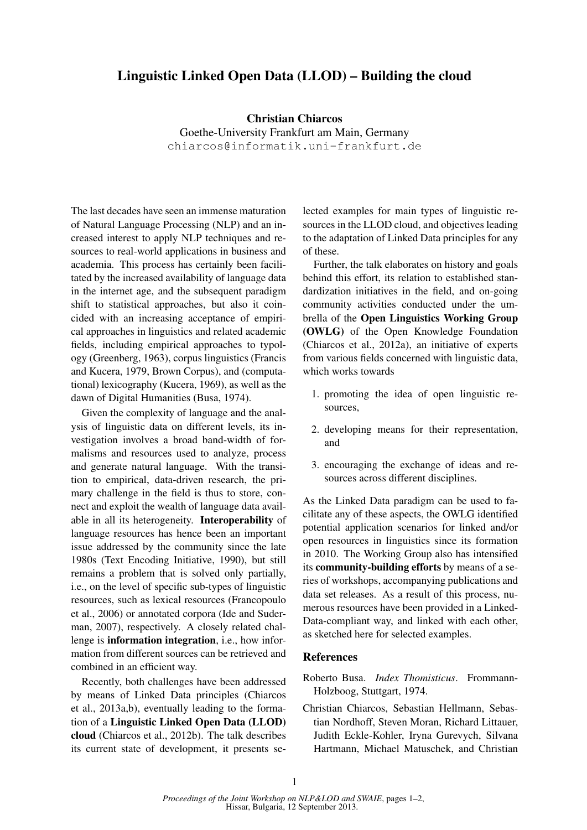## Linguistic Linked Open Data (LLOD) – Building the cloud

Christian Chiarcos Goethe-University Frankfurt am Main, Germany chiarcos@informatik.uni-frankfurt.de

The last decades have seen an immense maturation of Natural Language Processing (NLP) and an increased interest to apply NLP techniques and resources to real-world applications in business and academia. This process has certainly been facilitated by the increased availability of language data in the internet age, and the subsequent paradigm shift to statistical approaches, but also it coincided with an increasing acceptance of empirical approaches in linguistics and related academic fields, including empirical approaches to typology (Greenberg, 1963), corpus linguistics (Francis and Kucera, 1979, Brown Corpus), and (computational) lexicography (Kucera, 1969), as well as the dawn of Digital Humanities (Busa, 1974).

Given the complexity of language and the analysis of linguistic data on different levels, its investigation involves a broad band-width of formalisms and resources used to analyze, process and generate natural language. With the transition to empirical, data-driven research, the primary challenge in the field is thus to store, connect and exploit the wealth of language data available in all its heterogeneity. Interoperability of language resources has hence been an important issue addressed by the community since the late 1980s (Text Encoding Initiative, 1990), but still remains a problem that is solved only partially, i.e., on the level of specific sub-types of linguistic resources, such as lexical resources (Francopoulo et al., 2006) or annotated corpora (Ide and Suderman, 2007), respectively. A closely related challenge is information integration, i.e., how information from different sources can be retrieved and combined in an efficient way.

Recently, both challenges have been addressed by means of Linked Data principles (Chiarcos et al., 2013a,b), eventually leading to the formation of a Linguistic Linked Open Data (LLOD) cloud (Chiarcos et al., 2012b). The talk describes its current state of development, it presents selected examples for main types of linguistic resources in the LLOD cloud, and objectives leading to the adaptation of Linked Data principles for any of these.

Further, the talk elaborates on history and goals behind this effort, its relation to established standardization initiatives in the field, and on-going community activities conducted under the umbrella of the Open Linguistics Working Group (OWLG) of the Open Knowledge Foundation (Chiarcos et al., 2012a), an initiative of experts from various fields concerned with linguistic data, which works towards

- 1. promoting the idea of open linguistic resources,
- 2. developing means for their representation, and
- 3. encouraging the exchange of ideas and resources across different disciplines.

As the Linked Data paradigm can be used to facilitate any of these aspects, the OWLG identified potential application scenarios for linked and/or open resources in linguistics since its formation in 2010. The Working Group also has intensified its community-building efforts by means of a series of workshops, accompanying publications and data set releases. As a result of this process, numerous resources have been provided in a Linked-Data-compliant way, and linked with each other, as sketched here for selected examples.

## References

- Roberto Busa. *Index Thomisticus*. Frommann-Holzboog, Stuttgart, 1974.
- Christian Chiarcos, Sebastian Hellmann, Sebastian Nordhoff, Steven Moran, Richard Littauer, Judith Eckle-Kohler, Iryna Gurevych, Silvana Hartmann, Michael Matuschek, and Christian

1